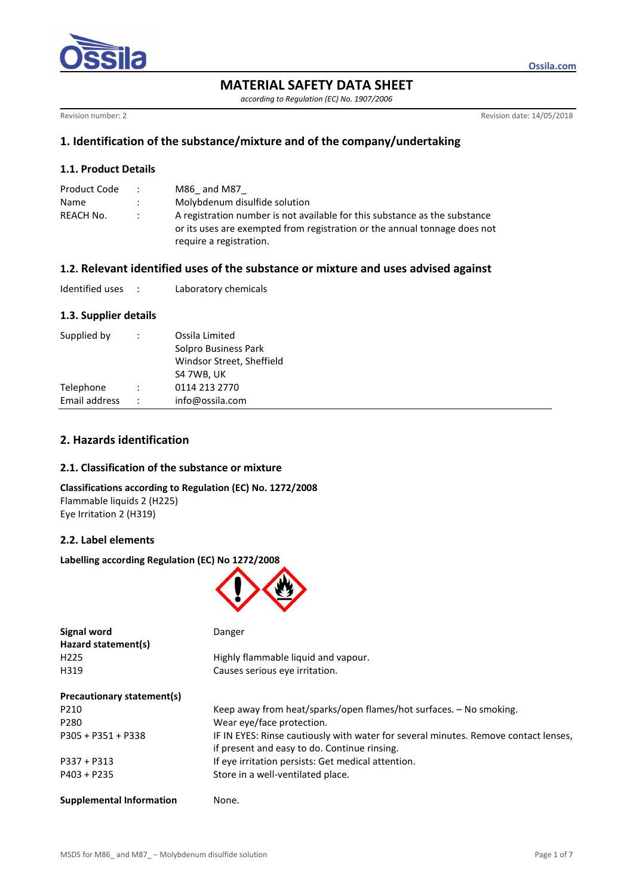

# **MATERIAL SAFETY DATA SHEET**

*according to Regulation (EC) No. 1907/2006* 

Revision number: 2 Revision of the USA Revision of the USA Revision of the USA Revision of the USA Revision of the USA Revision of the USA Revision of the USA Revision of the USA Revision of the USA Revision of the USA Rev

# **1. Identification of the substance/mixture and of the company/undertaking**

## **1.1. Product Details**

| Product Code | $\mathcal{L}$ | M86 and M87                                                                |
|--------------|---------------|----------------------------------------------------------------------------|
| Name         |               | Molybdenum disulfide solution                                              |
| REACH No.    | $\mathcal{L}$ | A registration number is not available for this substance as the substance |
|              |               | or its uses are exempted from registration or the annual tonnage does not  |
|              |               | require a registration.                                                    |

## **1.2. Relevant identified uses of the substance or mixture and uses advised against**

| Identified uses |  | Laboratory chemicals |
|-----------------|--|----------------------|
|-----------------|--|----------------------|

# **1.3. Supplier details**

| Supplied by   | ÷                    | Ossila Limited<br>Solpro Business Park<br>Windsor Street, Sheffield<br>S4 7WB, UK |
|---------------|----------------------|-----------------------------------------------------------------------------------|
| Telephone     | $\ddot{\phantom{0}}$ | 0114 213 2770                                                                     |
| Email address | $\ddot{\phantom{0}}$ | info@ossila.com                                                                   |
|               |                      |                                                                                   |

# **2. Hazards identification**

## **2.1. Classification of the substance or mixture**

**Classifications according to Regulation (EC) No. 1272/2008** 

Flammable liquids 2 (H225) Eye Irritation 2 (H319)

# **2.2. Label elements**

#### **Labelling according Regulation (EC) No 1272/2008**



| <b>Signal word</b>              | Danger                                                                              |
|---------------------------------|-------------------------------------------------------------------------------------|
| Hazard statement(s)             |                                                                                     |
| H <sub>225</sub>                | Highly flammable liquid and vapour.                                                 |
| H319                            | Causes serious eye irritation.                                                      |
| Precautionary statement(s)      |                                                                                     |
| P210                            | Keep away from heat/sparks/open flames/hot surfaces. – No smoking.                  |
| P280                            | Wear eye/face protection.                                                           |
| $P305 + P351 + P338$            | IF IN EYES: Rinse cautiously with water for several minutes. Remove contact lenses, |
|                                 | if present and easy to do. Continue rinsing.                                        |
| $P337 + P313$                   | If eye irritation persists: Get medical attention.                                  |
| $P403 + P235$                   | Store in a well-ventilated place.                                                   |
| <b>Supplemental Information</b> | None.                                                                               |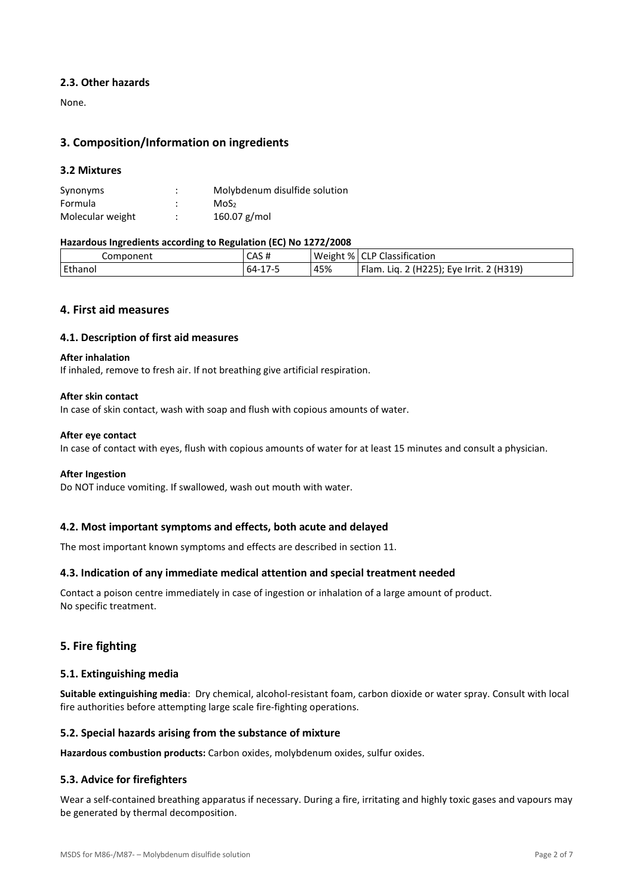### **2.3. Other hazards**

None.

## **3. Composition/Information on ingredients**

### **3.2 Mixtures**

| Synonyms         | ٠<br>٠ | Molybdenum disulfide solution |
|------------------|--------|-------------------------------|
| Formula          | ٠      | MoS <sub>2</sub>              |
| Molecular weight | ٠<br>٠ | $160.07$ g/mol                |

#### **Hazardous Ingredients according to Regulation (EC) No 1272/2008**

| Component | CAS#                 | Weight $%$ | $\Gamma$ $\cap$ P Classification              |
|-----------|----------------------|------------|-----------------------------------------------|
| Ethanol   | 64-<br>$\pm$ / $\pm$ | 45%        | 2(H319)<br>(H225); Eye Irrit.<br>Flam.<br>Lia |

## **4. First aid measures**

#### **4.1. Description of first aid measures**

#### **After inhalation**

If inhaled, remove to fresh air. If not breathing give artificial respiration.

#### **After skin contact**

In case of skin contact, wash with soap and flush with copious amounts of water.

#### **After eye contact**

In case of contact with eyes, flush with copious amounts of water for at least 15 minutes and consult a physician.

#### **After Ingestion**

Do NOT induce vomiting. If swallowed, wash out mouth with water.

## **4.2. Most important symptoms and effects, both acute and delayed**

The most important known symptoms and effects are described in section 11.

## **4.3. Indication of any immediate medical attention and special treatment needed**

Contact a poison centre immediately in case of ingestion or inhalation of a large amount of product. No specific treatment.

## **5. Fire fighting**

#### **5.1. Extinguishing media**

Suitable extinguishing media: Dry chemical, alcohol-resistant foam, carbon dioxide or water spray. Consult with local fire authorities before attempting large scale fire-fighting operations.

#### **5.2. Special hazards arising from the substance of mixture**

**Hazardous combustion products:** Carbon oxides, molybdenum oxides, sulfur oxides,

## **5.3. Advice for firefighters**

Wear a self-contained breathing apparatus if necessary. During a fire, irritating and highly toxic gases and vapours may be generated by thermal decomposition.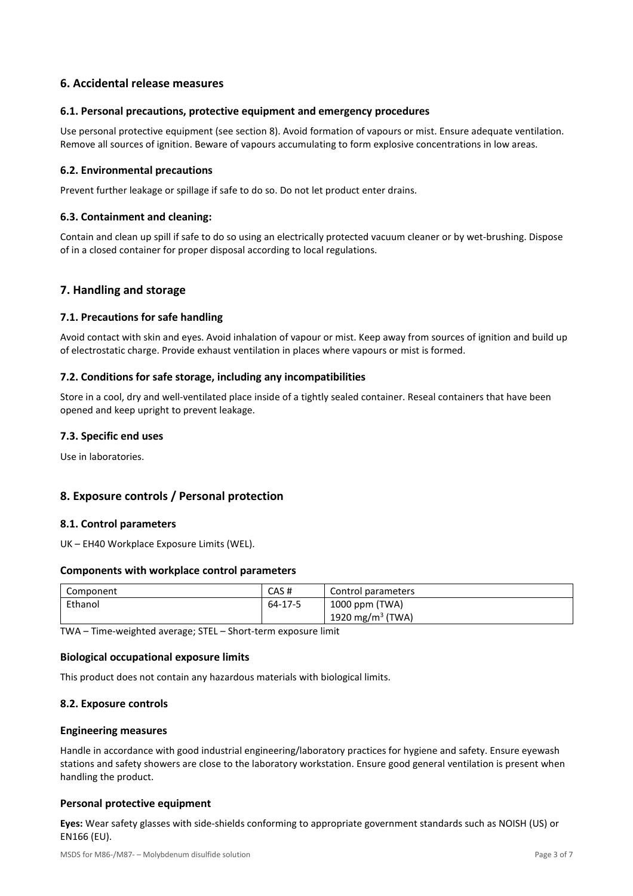## **6. Accidental release measures**

### **6.1. Personal precautions, protective equipment and emergency procedures**

Use personal protective equipment (see section 8). Avoid formation of vapours or mist. Ensure adequate ventilation. Remove all sources of ignition. Beware of vapours accumulating to form explosive concentrations in low areas.

### **6.2. Environmental precautions**

Prevent further leakage or spillage if safe to do so. Do not let product enter drains.

### **6.3. Containment and cleaning:**

Contain and clean up spill if safe to do so using an electrically protected vacuum cleaner or by wet-brushing. Dispose of in a closed container for proper disposal according to local regulations.

## **7. Handling and storage**

#### **7.1. Precautions for safe handling**

Avoid contact with skin and eyes. Avoid inhalation of vapour or mist. Keep away from sources of ignition and build up of electrostatic charge. Provide exhaust ventilation in places where vapours or mist is formed.

### **7.2. Conditions for safe storage, including any incompatibilities**

Store in a cool, dry and well-ventilated place inside of a tightly sealed container. Reseal containers that have been opened and keep upright to prevent leakage.

### **7.3. Specific end uses**

Use in laboratories.

## **8. Exposure controls / Personal protection**

#### **8.1. Control parameters**

UK – EH40 Workplace Exposure Limits (WEL).

#### **Components with workplace control parameters**

| Component | CAS#    | Control parameters  |
|-----------|---------|---------------------|
| Ethanol   | 64-17-5 | 1000 ppm (TWA)      |
|           |         | 1920 mg/m $3$ (TWA) |

TWA - Time-weighted average; STEL - Short-term exposure limit

#### **Biological occupational exposure limits**

This product does not contain any hazardous materials with biological limits.

#### **8.2. Exposure controls**

#### **Engineering measures**

Handle in accordance with good industrial engineering/laboratory practices for hygiene and safety. Ensure eyewash stations and safety showers are close to the laboratory workstation. Ensure good general ventilation is present when handling the product.

#### **Personal protective equipment**

Eyes: Wear safety glasses with side-shields conforming to appropriate government standards such as NOISH (US) or EN166 (EU).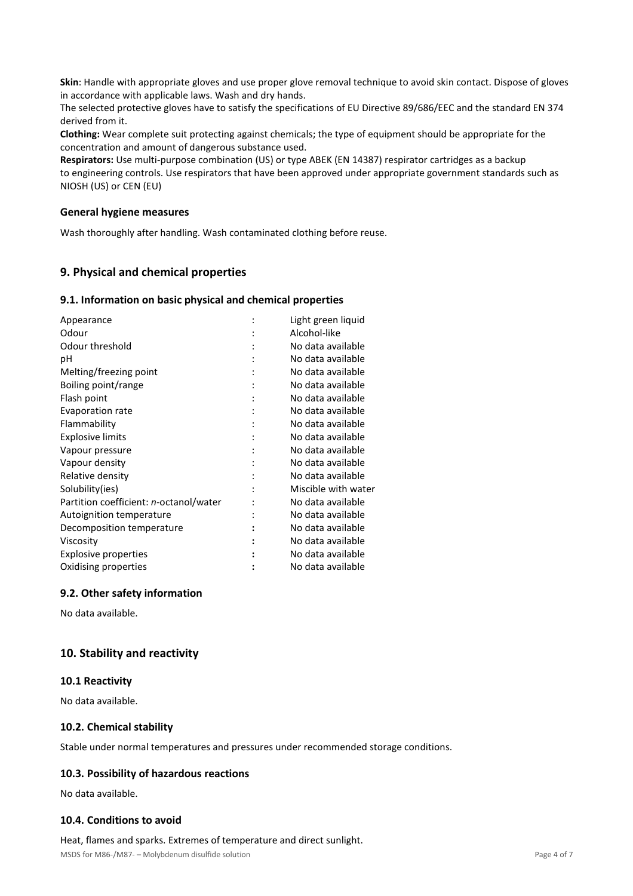Skin: Handle with appropriate gloves and use proper glove removal technique to avoid skin contact. Dispose of gloves in accordance with applicable laws. Wash and dry hands.

The selected protective gloves have to satisfy the specifications of EU Directive 89/686/EEC and the standard EN 374 derived from it.

**Clothing:** Wear complete suit protecting against chemicals; the type of equipment should be appropriate for the concentration and amount of dangerous substance used.

**Respirators:** Use multi-purpose combination (US) or type ABEK (EN 14387) respirator cartrioges as a backup to engineering controls. Use respirators that have been approved under appropriate government standards such as NIOSH (US) or CEN (EU)

#### **General hygiene measures**

Wash thoroughly after handling. Wash contaminated clothing before reuse.

# **9. Physical and chemical properties**

#### **9.1. Information on basic physical and chemical properties**

| Appearance                             | Light green liquid  |
|----------------------------------------|---------------------|
| Odour                                  | Alcohol-like        |
| Odour threshold                        | No data available   |
| рH                                     | No data available   |
| Melting/freezing point                 | No data available   |
| Boiling point/range                    | No data available   |
| Flash point                            | No data available   |
| Evaporation rate                       | No data available   |
| Flammability                           | No data available   |
| <b>Explosive limits</b>                | No data available   |
| Vapour pressure                        | No data available   |
| Vapour density                         | No data available   |
| Relative density                       | No data available   |
| Solubility(ies)                        | Miscible with water |
| Partition coefficient: n-octanol/water | No data available   |
| Autoignition temperature               | No data available   |
| Decomposition temperature              | No data available   |
| Viscosity                              | No data available   |
| Explosive properties                   | No data available   |
| Oxidising properties                   | No data available   |

## **9.2. Other safety information**

No data available.

## **10. Stability and reactivity**

#### **10.1 Reactivity**

No data available.

#### **10.2. Chemical stability**

Stable under normal temperatures and pressures under recommended storage conditions.

## **10.3. Possibility of hazardous reactions**

No data available.

## **10.4. Conditions to avoid**

#### Heat, flames and sparks. Extremes of temperature and direct sunlight.

MSDS for M86-/M87- – Molybdenum disulfide solution **Page 4 of 7** and 2008 and 2008 and 2008 and 2008 and 2008 and 2008 and 2008 and 2008 and 2008 and 2008 and 2008 and 2008 and 2008 and 2008 and 2008 and 2008 and 2008 and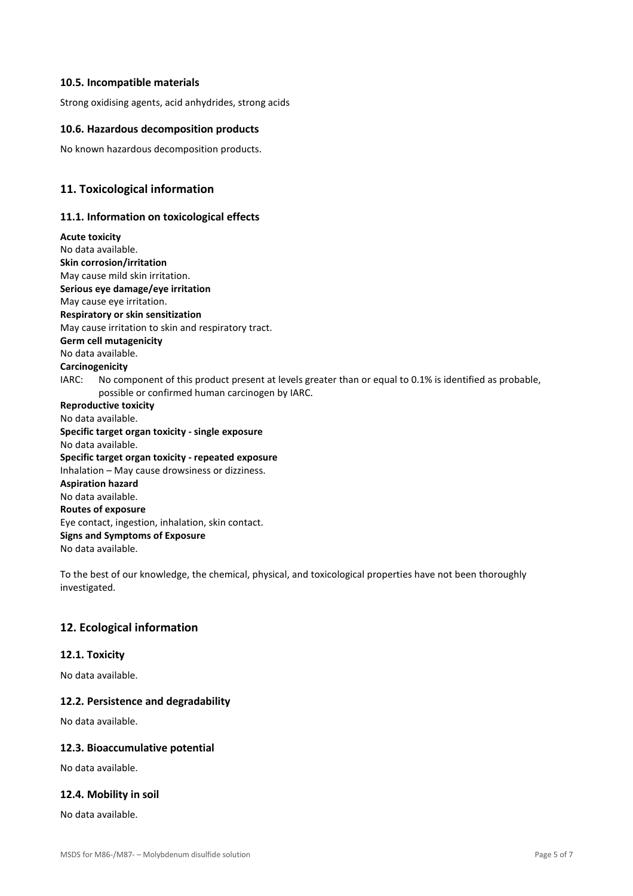### **10.5. Incompatible materials**

Strong oxidising agents, acid anhydrides, strong acids

### **10.6. Hazardous decomposition products**

No known hazardous decomposition products.

## **11. Toxicological information**

### **11.1. Information on toxicological effects**

**Acute toxicity**  No data available. **Skin corrosion/irritation**  May cause mild skin irritation. **Serious eye damage/eye irritation**  May cause eye irritation. **Respiratory or skin sensitization**  May cause irritation to skin and respiratory tract. **Germ cell mutagenicity**  No data available. **Carcinogenicity**   $IARC:$  No component of this product present at levels greater than or equal to 0.1% is identified as probable. possible or confirmed human carcinogen by IARC. **Reproductive toxicity**  No data available. **Specific target organ toxicity - single exposure**  No data available. **Specific target organ toxicity - repeated exposure**  Inhalation – May cause drowsiness or dizziness. **Aspiration hazard**  No data available. **Routes of exposure**  Eye contact, ingestion, inhalation, skin contact. **Signs and Symptoms of Exposure**  No data available.

To the best of our knowledge, the chemical, physical, and toxicological properties have not been thoroughly investigated.

## **12. Ecological information**

### **12.1. Toxicity**

No data available.

#### **12.2. Persistence and degradability**

No data available.

#### **12.3. Bioaccumulative potential**

No data available.

#### **12.4. Mobility in soil**

No data available.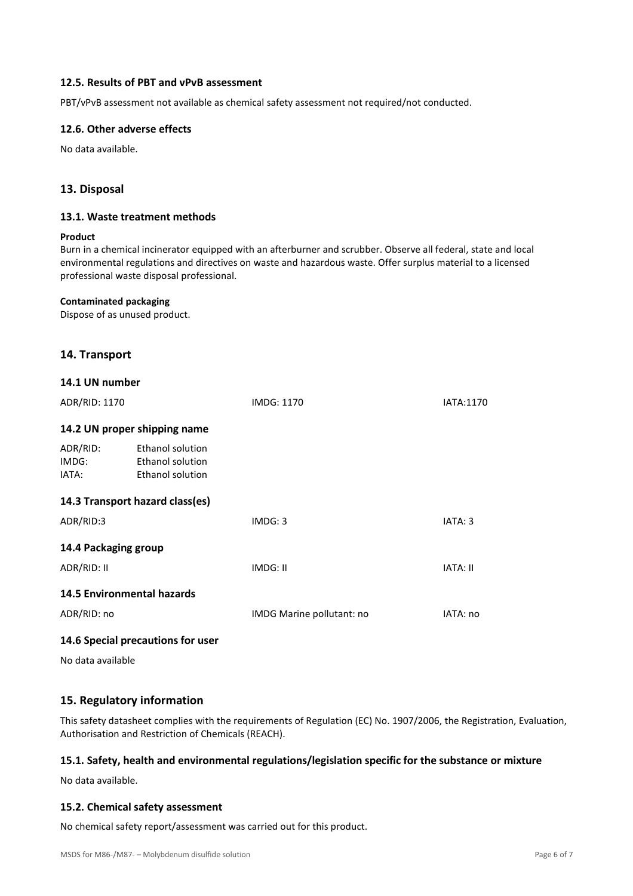### **12.5. Results of PBT and vPvB assessment**

PBT/vPvB assessment not available as chemical safety assessment not required/not conducted.

### **12.6. Other adverse effects**

No data available.

## **13. Disposal**

### **13.1. Waste treatment methods**

#### **Product**

Burn in a chemical incinerator equipped with an afterburner and scrubber. Observe all federal, state and local environmental regulations and directives on waste and hazardous waste. Offer surplus material to a licensed professional waste disposal professional.

#### **Contaminated packaging**

Dispose of as unused product.

## **14. Transport**

| 14.1 UN number                    |                                                                        |                           |                 |
|-----------------------------------|------------------------------------------------------------------------|---------------------------|-----------------|
| ADR/RID: 1170                     |                                                                        | IMDG: 1170                | IATA:1170       |
|                                   | 14.2 UN proper shipping name                                           |                           |                 |
| ADR/RID:<br>IMDG:<br>IATA:        | Ethanol solution<br><b>Ethanol solution</b><br><b>Ethanol solution</b> |                           |                 |
|                                   | 14.3 Transport hazard class(es)                                        |                           |                 |
| ADR/RID:3                         |                                                                        | IMDG: 3                   | IATA: 3         |
| 14.4 Packaging group              |                                                                        |                           |                 |
| ADR/RID: II                       |                                                                        | IMDG: II                  | <b>IATA: II</b> |
| <b>14.5 Environmental hazards</b> |                                                                        |                           |                 |
| ADR/RID: no                       |                                                                        | IMDG Marine pollutant: no | IATA: no        |
|                                   |                                                                        |                           |                 |

## **14.6 Special precautions for user**

No data available

## **15. Regulatory information**

This safety datasheet complies with the requirements of Regulation (EC) No. 1907/2006, the Registration, Evaluation, Authorisation and Restriction of Chemicals (REACH).

#### **15.1. Safety, health and environmental regulations/legislation specific for the substance or mixture**

No data available.

#### **15.2. Chemical safety assessment**

No chemical safety report/assessment was carried out for this product.